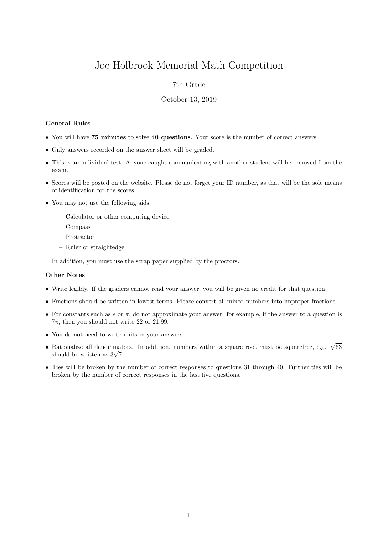# Joe Holbrook Memorial Math Competition

## 7th Grade

#### October 13, 2019

#### General Rules

- You will have 75 minutes to solve 40 questions. Your score is the number of correct answers.
- Only answers recorded on the answer sheet will be graded.
- This is an individual test. Anyone caught communicating with another student will be removed from the exam.
- Scores will be posted on the website. Please do not forget your ID number, as that will be the sole means of identification for the scores.
- You may not use the following aids:
	- Calculator or other computing device
	- Compass
	- Protractor
	- Ruler or straightedge

In addition, you must use the scrap paper supplied by the proctors.

### Other Notes

- Write legibly. If the graders cannot read your answer, you will be given no credit for that question.
- Fractions should be written in lowest terms. Please convert all mixed numbers into improper fractions.
- For constants such as  $e$  or  $\pi$ , do not approximate your answer: for example, if the answer to a question is  $7\pi$ , then you should not write 22 or 21.99.
- You do not need to write units in your answers.
- Rationalize all denominators. In addition, numbers within a square root must be squarefree, e.g.  $\sqrt{63}$ Rationalize all denominat<br>should be written as  $3\sqrt{7}$ .
- Ties will be broken by the number of correct responses to questions 31 through 40. Further ties will be broken by the number of correct responses in the last five questions.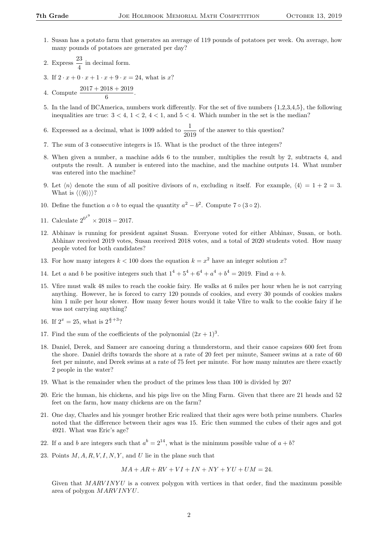- 1. Susan has a potato farm that generates an average of 119 pounds of potatoes per week. On average, how many pounds of potatoes are generated per day?
- 2. Express  $\frac{23}{4}$  in decimal form.
- 3. If  $2 \cdot x + 0 \cdot x + 1 \cdot x + 9 \cdot x = 24$ , what is x?
- 4. Compute  $\frac{2017 + 2018 + 2019}{6}$ .
- 5. In the land of BCAmerica, numbers work differently. For the set of five numbers {1,2,3,4,5}, the following inequalities are true:  $3 < 4$ ,  $1 < 2$ ,  $4 < 1$ , and  $5 < 4$ . Which number in the set is the median?

6. Expressed as a decimal, what is 1009 added to  $\frac{1}{2019}$  of the answer to this question?

- 7. The sum of 3 consecutive integers is 15. What is the product of the three integers?
- 8. When given a number, a machine adds 6 to the number, multiplies the result by 2, subtracts 4, and outputs the result. A number is entered into the machine, and the machine outputs 14. What number was entered into the machine?
- 9. Let  $\langle n \rangle$  denote the sum of all positive divisors of n, excluding n itself. For example,  $\langle 4 \rangle = 1 + 2 = 3$ . What is  $\langle \langle \langle 6 \rangle \rangle \rangle$ ?
- 10. Define the function  $a \circ b$  to equal the quantity  $a^2 b^2$ . Compute 7  $\circ$  (3  $\circ$  2).
- 11. Calculate  $2^{0^{1^9}} \times 2018 2017$ .
- 12. Abhinav is running for president against Susan. Everyone voted for either Abhinav, Susan, or both. Abhinav received 2019 votes, Susan received 2018 votes, and a total of 2020 students voted. How many people voted for both candidates?
- 13. For how many integers  $k < 100$  does the equation  $k = x^2$  have an integer solution x?
- 14. Let a and b be positive integers such that  $1^4 + 5^4 + 6^4 + a^4 + b^4 = 2019$ . Find  $a + b$ .
- 15. Vfire must walk 48 miles to reach the cookie fairy. He walks at 6 miles per hour when he is not carrying anything. However, he is forced to carry 120 pounds of cookies, and every 30 pounds of cookies makes him 1 mile per hour slower. How many fewer hours would it take Vfire to walk to the cookie fairy if he was not carrying anything?
- 16. If  $2^x = 25$ , what is  $2^{\frac{x}{2}+3}$ ?
- 17. Find the sum of the coefficients of the polynomial  $(2x+1)^3$ .
- 18. Daniel, Derek, and Sameer are canoeing during a thunderstorm, and their canoe capsizes 600 feet from the shore. Daniel drifts towards the shore at a rate of 20 feet per minute, Sameer swims at a rate of 60 feet per minute, and Derek swims at a rate of 75 feet per minute. For how many minutes are there exactly 2 people in the water?
- 19. What is the remainder when the product of the primes less than 100 is divided by 20?
- 20. Eric the human, his chickens, and his pigs live on the Ming Farm. Given that there are 21 heads and 52 feet on the farm, how many chickens are on the farm?
- 21. One day, Charles and his younger brother Eric realized that their ages were both prime numbers. Charles noted that the difference between their ages was 15. Eric then summed the cubes of their ages and got 4921. What was Eric's age?
- 22. If a and b are integers such that  $a^b = 2^{14}$ , what is the minimum possible value of  $a + b$ ?
- 23. Points  $M, A, R, V, I, N, Y$ , and U lie in the plane such that

$$
MA + AR + RV + VI + IN + NY + YU + UM = 24.
$$

Given that  $MARVINYU$  is a convex polygon with vertices in that order, find the maximum possible area of polygon MARV INY U.